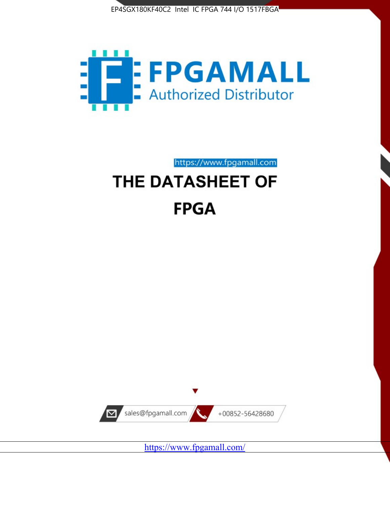



https://www.fpgamall.com

# THE DATASHEET OF **FPGA**



<https://www.fpgamall.com/>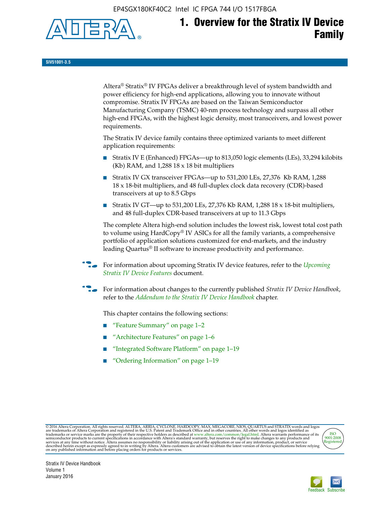EP4SGX180KF40C2 Intel IC FPGA 744 I/O 1517FBGA



# **1. Overview for the Stratix IV Device Family**

**SIV51001-3.5**

Altera® Stratix® IV FPGAs deliver a breakthrough level of system bandwidth and power efficiency for high-end applications, allowing you to innovate without compromise. Stratix IV FPGAs are based on the Taiwan Semiconductor Manufacturing Company (TSMC) 40-nm process technology and surpass all other high-end FPGAs, with the highest logic density, most transceivers, and lowest power requirements.

The Stratix IV device family contains three optimized variants to meet different application requirements:

- Stratix IV E (Enhanced) FPGAs—up to 813,050 logic elements (LEs), 33,294 kilobits (Kb) RAM, and 1,288 18 x 18 bit multipliers
- Stratix IV GX transceiver FPGAs—up to 531,200 LEs, 27,376 Kb RAM, 1,288 18 x 18-bit multipliers, and 48 full-duplex clock data recovery (CDR)-based transceivers at up to 8.5 Gbps
- Stratix IV GT—up to 531,200 LEs, 27,376 Kb RAM, 1,288 18 x 18-bit multipliers, and 48 full-duplex CDR-based transceivers at up to 11.3 Gbps

The complete Altera high-end solution includes the lowest risk, lowest total cost path to volume using HardCopy® IV ASICs for all the family variants, a comprehensive portfolio of application solutions customized for end-markets, and the industry leading Quartus® II software to increase productivity and performance.

f For information about upcoming Stratix IV device features, refer to the *[Upcoming](http://www.altera.com/literature/hb/stratix-iv/uf01001.pdf?GSA_pos=2&WT.oss_r=1&WT.oss=upcoming)  [Stratix IV Device Features](http://www.altera.com/literature/hb/stratix-iv/uf01001.pdf?GSA_pos=2&WT.oss_r=1&WT.oss=upcoming)* document.

f For information about changes to the currently published *Stratix IV Device Handbook*, refer to the *[Addendum to the Stratix IV Device Handbook](http://www.altera.com/literature/hb/stratix-iv/stx4_siv54002.pdf)* chapter.

This chapter contains the following sections:

- "Feature Summary" on page 1–2
- "Architecture Features" on page 1–6
- "Integrated Software Platform" on page 1–19
- "Ordering Information" on page 1–19

@2016 Altera Corporation. All rights reserved. ALTERA, ARRIA, CYCLONE, HARDCOPY, MAX, MEGACORE, NIOS, QUARTUS and STRATIX words and logos are trademarks of Altera Corporation and registered in the U.S. Patent and Trademark



Stratix IV Device Handbook Volume 1 January 2016

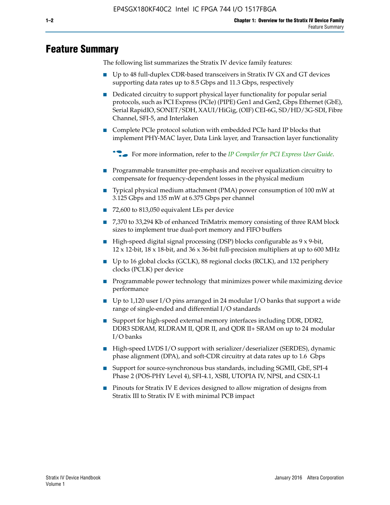# **Feature Summary**

The following list summarizes the Stratix IV device family features:

- Up to 48 full-duplex CDR-based transceivers in Stratix IV GX and GT devices supporting data rates up to 8.5 Gbps and 11.3 Gbps, respectively
- Dedicated circuitry to support physical layer functionality for popular serial protocols, such as PCI Express (PCIe) (PIPE) Gen1 and Gen2, Gbps Ethernet (GbE), Serial RapidIO, SONET/SDH, XAUI/HiGig, (OIF) CEI-6G, SD/HD/3G-SDI, Fibre Channel, SFI-5, and Interlaken
- Complete PCIe protocol solution with embedded PCIe hard IP blocks that implement PHY-MAC layer, Data Link layer, and Transaction layer functionality

**For more information, refer to the** *[IP Compiler for PCI Express User Guide](http://www.altera.com/literature/ug/ug_pci_express.pdf)***.** 

- Programmable transmitter pre-emphasis and receiver equalization circuitry to compensate for frequency-dependent losses in the physical medium
- Typical physical medium attachment (PMA) power consumption of 100 mW at 3.125 Gbps and 135 mW at 6.375 Gbps per channel
- 72,600 to 813,050 equivalent LEs per device
- 7,370 to 33,294 Kb of enhanced TriMatrix memory consisting of three RAM block sizes to implement true dual-port memory and FIFO buffers
- High-speed digital signal processing (DSP) blocks configurable as 9 x 9-bit,  $12 \times 12$ -bit,  $18 \times 18$ -bit, and  $36 \times 36$ -bit full-precision multipliers at up to 600 MHz
- Up to 16 global clocks (GCLK), 88 regional clocks (RCLK), and 132 periphery clocks (PCLK) per device
- Programmable power technology that minimizes power while maximizing device performance
- Up to 1,120 user I/O pins arranged in 24 modular I/O banks that support a wide range of single-ended and differential I/O standards
- Support for high-speed external memory interfaces including DDR, DDR2, DDR3 SDRAM, RLDRAM II, QDR II, and QDR II+ SRAM on up to 24 modular I/O banks
- High-speed LVDS I/O support with serializer/deserializer (SERDES), dynamic phase alignment (DPA), and soft-CDR circuitry at data rates up to 1.6 Gbps
- Support for source-synchronous bus standards, including SGMII, GbE, SPI-4 Phase 2 (POS-PHY Level 4), SFI-4.1, XSBI, UTOPIA IV, NPSI, and CSIX-L1
- Pinouts for Stratix IV E devices designed to allow migration of designs from Stratix III to Stratix IV E with minimal PCB impact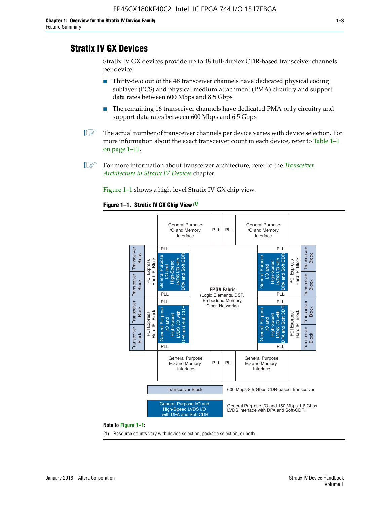# **Stratix IV GX Devices**

Stratix IV GX devices provide up to 48 full-duplex CDR-based transceiver channels per device:

- Thirty-two out of the 48 transceiver channels have dedicated physical coding sublayer (PCS) and physical medium attachment (PMA) circuitry and support data rates between 600 Mbps and 8.5 Gbps
- The remaining 16 transceiver channels have dedicated PMA-only circuitry and support data rates between 600 Mbps and 6.5 Gbps
- **1 The actual number of transceiver channels per device varies with device selection. For** more information about the exact transceiver count in each device, refer to Table 1–1 on page 1–11.
- 1 For more information about transceiver architecture, refer to the *[Transceiver](http://www.altera.com/literature/hb/stratix-iv/stx4_siv52001.pdf)  [Architecture in Stratix IV Devices](http://www.altera.com/literature/hb/stratix-iv/stx4_siv52001.pdf)* chapter.

Figure 1–1 shows a high-level Stratix IV GX chip view.

#### **Figure 1–1. Stratix IV GX Chip View** *(1)*



#### **Note to Figure 1–1:**

(1) Resource counts vary with device selection, package selection, or both.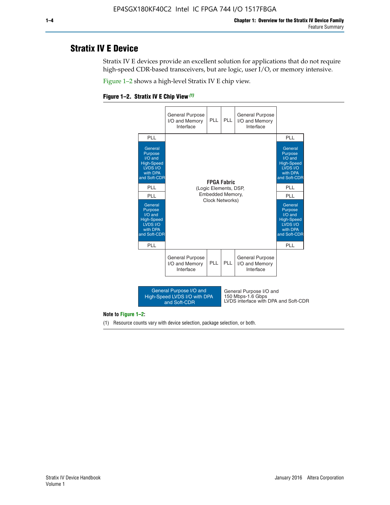# **Stratix IV E Device**

Stratix IV E devices provide an excellent solution for applications that do not require high-speed CDR-based transceivers, but are logic, user I/O, or memory intensive.

Figure 1–2 shows a high-level Stratix IV E chip view.

#### **Figure 1–2. Stratix IV E Chip View** *(1)*



#### **Note to Figure 1–2:**

(1) Resource counts vary with device selection, package selection, or both.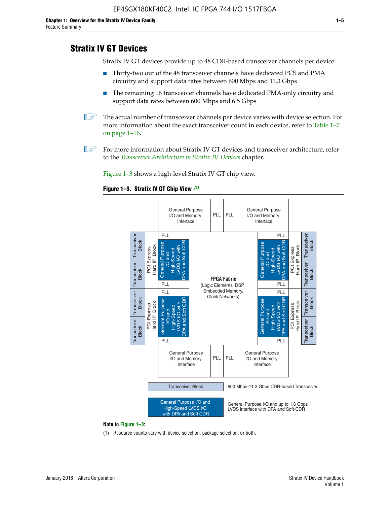# **Stratix IV GT Devices**

Stratix IV GT devices provide up to 48 CDR-based transceiver channels per device:

- Thirty-two out of the 48 transceiver channels have dedicated PCS and PMA circuitry and support data rates between 600 Mbps and 11.3 Gbps
- The remaining 16 transceiver channels have dedicated PMA-only circuitry and support data rates between 600 Mbps and 6.5 Gbps
- **1** The actual number of transceiver channels per device varies with device selection. For more information about the exact transceiver count in each device, refer to Table 1–7 on page 1–16.
- $\mathbb{I}$  For more information about Stratix IV GT devices and transceiver architecture, refer to the *[Transceiver Architecture in Stratix IV Devices](http://www.altera.com/literature/hb/stratix-iv/stx4_siv52001.pdf)* chapter.

Figure 1–3 shows a high-level Stratix IV GT chip view.

#### **Figure 1–3. Stratix IV GT Chip View** *(1)*



(1) Resource counts vary with device selection, package selection, or both.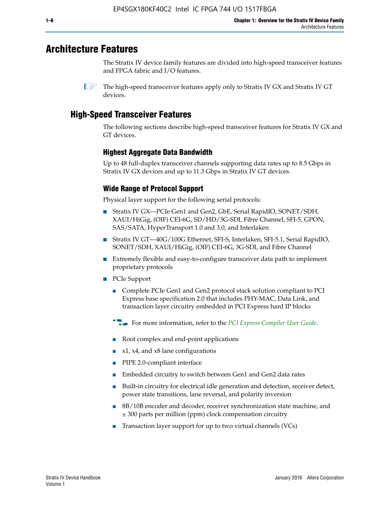# **Architecture Features**

The Stratix IV device family features are divided into high-speed transceiver features and FPGA fabric and I/O features.

 $\mathbb{I}$  The high-speed transceiver features apply only to Stratix IV GX and Stratix IV GT devices.

# **High-Speed Transceiver Features**

The following sections describe high-speed transceiver features for Stratix IV GX and GT devices.

### **Highest Aggregate Data Bandwidth**

Up to 48 full-duplex transceiver channels supporting data rates up to 8.5 Gbps in Stratix IV GX devices and up to 11.3 Gbps in Stratix IV GT devices.

## **Wide Range of Protocol Support**

Physical layer support for the following serial protocols:

- Stratix IV GX—PCIe Gen1 and Gen2, GbE, Serial RapidIO, SONET/SDH, XAUI/HiGig, (OIF) CEI-6G, SD/HD/3G-SDI, Fibre Channel, SFI-5, GPON, SAS/SATA, HyperTransport 1.0 and 3.0, and Interlaken
- Stratix IV GT—40G/100G Ethernet, SFI-S, Interlaken, SFI-5.1, Serial RapidIO, SONET/SDH, XAUI/HiGig, (OIF) CEI-6G, 3G-SDI, and Fibre Channel
- Extremely flexible and easy-to-configure transceiver data path to implement proprietary protocols
- PCIe Support
	- Complete PCIe Gen1 and Gen2 protocol stack solution compliant to PCI Express base specification 2.0 that includes PHY-MAC, Data Link, and transaction layer circuitry embedded in PCI Express hard IP blocks
	- **For more information, refer to the [PCI Express Compiler User Guide](http://www.altera.com/literature/ug/ug_pci_express.pdf).**
	- Root complex and end-point applications
	- $x1, x4,$  and  $x8$  lane configurations
	- PIPE 2.0-compliant interface
	- Embedded circuitry to switch between Gen1 and Gen2 data rates
	- Built-in circuitry for electrical idle generation and detection, receiver detect, power state transitions, lane reversal, and polarity inversion
	- 8B/10B encoder and decoder, receiver synchronization state machine, and ± 300 parts per million (ppm) clock compensation circuitry
	- Transaction layer support for up to two virtual channels (VCs)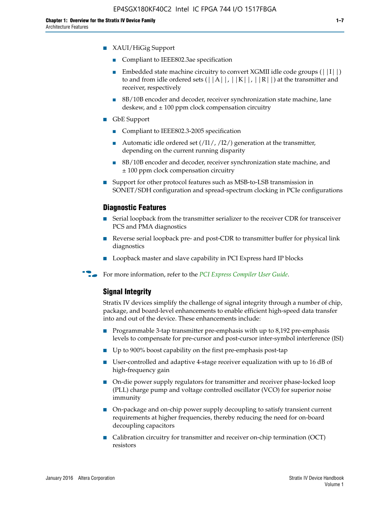- Compliant to IEEE802.3ae specification
- **■** Embedded state machine circuitry to convert XGMII idle code groups  $(|11|)$ to and from idle ordered sets  $(|A|, |K|, |R|)$  at the transmitter and receiver, respectively
- 8B/10B encoder and decoder, receiver synchronization state machine, lane deskew, and  $\pm 100$  ppm clock compensation circuitry
- GbE Support
	- Compliant to IEEE802.3-2005 specification
	- Automatic idle ordered set  $(111/112/1)$  generation at the transmitter, depending on the current running disparity
	- 8B/10B encoder and decoder, receiver synchronization state machine, and ± 100 ppm clock compensation circuitry
- Support for other protocol features such as MSB-to-LSB transmission in SONET/SDH configuration and spread-spectrum clocking in PCIe configurations

#### **Diagnostic Features**

- Serial loopback from the transmitter serializer to the receiver CDR for transceiver PCS and PMA diagnostics
- Reverse serial loopback pre- and post-CDR to transmitter buffer for physical link diagnostics
- Loopback master and slave capability in PCI Express hard IP blocks
- **For more information, refer to the** *[PCI Express Compiler User Guide](http://www.altera.com/literature/ug/ug_pci_express.pdf)***.**

#### **Signal Integrity**

Stratix IV devices simplify the challenge of signal integrity through a number of chip, package, and board-level enhancements to enable efficient high-speed data transfer into and out of the device. These enhancements include:

- Programmable 3-tap transmitter pre-emphasis with up to 8,192 pre-emphasis levels to compensate for pre-cursor and post-cursor inter-symbol interference (ISI)
- Up to 900% boost capability on the first pre-emphasis post-tap
- User-controlled and adaptive 4-stage receiver equalization with up to 16 dB of high-frequency gain
- On-die power supply regulators for transmitter and receiver phase-locked loop (PLL) charge pump and voltage controlled oscillator (VCO) for superior noise immunity
- On-package and on-chip power supply decoupling to satisfy transient current requirements at higher frequencies, thereby reducing the need for on-board decoupling capacitors
- Calibration circuitry for transmitter and receiver on-chip termination (OCT) resistors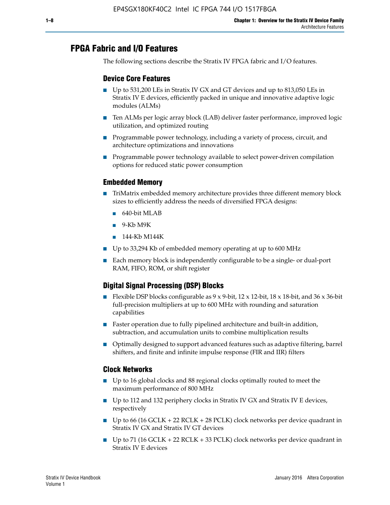# **FPGA Fabric and I/O Features**

The following sections describe the Stratix IV FPGA fabric and I/O features.

### **Device Core Features**

- Up to 531,200 LEs in Stratix IV GX and GT devices and up to 813,050 LEs in Stratix IV E devices, efficiently packed in unique and innovative adaptive logic modules (ALMs)
- Ten ALMs per logic array block (LAB) deliver faster performance, improved logic utilization, and optimized routing
- Programmable power technology, including a variety of process, circuit, and architecture optimizations and innovations
- Programmable power technology available to select power-driven compilation options for reduced static power consumption

#### **Embedded Memory**

- TriMatrix embedded memory architecture provides three different memory block sizes to efficiently address the needs of diversified FPGA designs:
	- 640-bit MLAB
	- 9-Kb M9K
	- 144-Kb M144K
- Up to 33,294 Kb of embedded memory operating at up to 600 MHz
- Each memory block is independently configurable to be a single- or dual-port RAM, FIFO, ROM, or shift register

### **Digital Signal Processing (DSP) Blocks**

- Flexible DSP blocks configurable as  $9 \times 9$ -bit,  $12 \times 12$ -bit,  $18 \times 18$ -bit, and  $36 \times 36$ -bit full-precision multipliers at up to 600 MHz with rounding and saturation capabilities
- Faster operation due to fully pipelined architecture and built-in addition, subtraction, and accumulation units to combine multiplication results
- Optimally designed to support advanced features such as adaptive filtering, barrel shifters, and finite and infinite impulse response (FIR and IIR) filters

#### **Clock Networks**

- Up to 16 global clocks and 88 regional clocks optimally routed to meet the maximum performance of 800 MHz
- Up to 112 and 132 periphery clocks in Stratix IV GX and Stratix IV E devices, respectively
- Up to 66 (16 GCLK + 22 RCLK + 28 PCLK) clock networks per device quadrant in Stratix IV GX and Stratix IV GT devices
- Up to 71 (16 GCLK + 22 RCLK + 33 PCLK) clock networks per device quadrant in Stratix IV E devices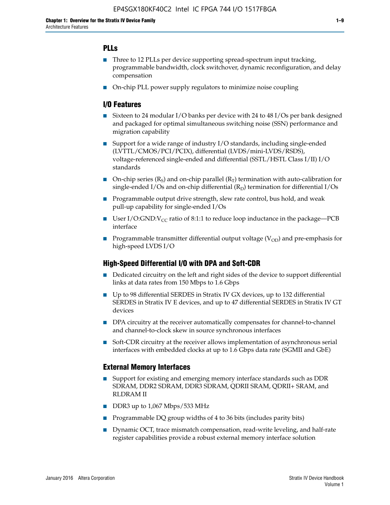### **PLLs**

- Three to 12 PLLs per device supporting spread-spectrum input tracking, programmable bandwidth, clock switchover, dynamic reconfiguration, and delay compensation
- On-chip PLL power supply regulators to minimize noise coupling

#### **I/O Features**

- Sixteen to 24 modular I/O banks per device with 24 to 48 I/Os per bank designed and packaged for optimal simultaneous switching noise (SSN) performance and migration capability
- Support for a wide range of industry I/O standards, including single-ended (LVTTL/CMOS/PCI/PCIX), differential (LVDS/mini-LVDS/RSDS), voltage-referenced single-ended and differential (SSTL/HSTL Class I/II) I/O standards
- **O**n-chip series  $(R_S)$  and on-chip parallel  $(R_T)$  termination with auto-calibration for single-ended I/Os and on-chip differential  $(R_D)$  termination for differential I/Os
- Programmable output drive strength, slew rate control, bus hold, and weak pull-up capability for single-ended I/Os
- User I/O:GND: $V_{CC}$  ratio of 8:1:1 to reduce loop inductance in the package—PCB interface
- **■** Programmable transmitter differential output voltage ( $V_{OD}$ ) and pre-emphasis for high-speed LVDS I/O

#### **High-Speed Differential I/O with DPA and Soft-CDR**

- Dedicated circuitry on the left and right sides of the device to support differential links at data rates from 150 Mbps to 1.6 Gbps
- Up to 98 differential SERDES in Stratix IV GX devices, up to 132 differential SERDES in Stratix IV E devices, and up to 47 differential SERDES in Stratix IV GT devices
- DPA circuitry at the receiver automatically compensates for channel-to-channel and channel-to-clock skew in source synchronous interfaces
- Soft-CDR circuitry at the receiver allows implementation of asynchronous serial interfaces with embedded clocks at up to 1.6 Gbps data rate (SGMII and GbE)

#### **External Memory Interfaces**

- Support for existing and emerging memory interface standards such as DDR SDRAM, DDR2 SDRAM, DDR3 SDRAM, QDRII SRAM, QDRII+ SRAM, and RLDRAM II
- DDR3 up to 1,067 Mbps/533 MHz
- Programmable DQ group widths of 4 to 36 bits (includes parity bits)
- Dynamic OCT, trace mismatch compensation, read-write leveling, and half-rate register capabilities provide a robust external memory interface solution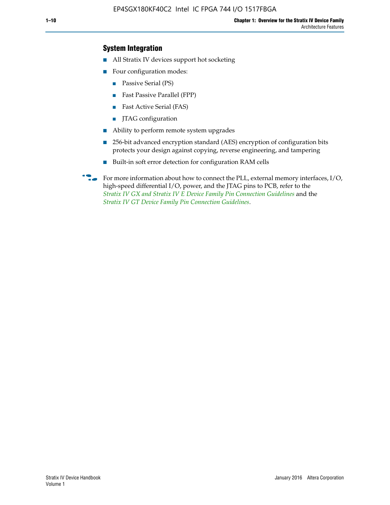### **System Integration**

- All Stratix IV devices support hot socketing
- Four configuration modes:
	- Passive Serial (PS)
	- Fast Passive Parallel (FPP)
	- Fast Active Serial (FAS)
	- JTAG configuration
- Ability to perform remote system upgrades
- 256-bit advanced encryption standard (AES) encryption of configuration bits protects your design against copying, reverse engineering, and tampering
- Built-in soft error detection for configuration RAM cells
- For more information about how to connect the PLL, external memory interfaces,  $I/O$ , high-speed differential I/O, power, and the JTAG pins to PCB, refer to the *[Stratix IV GX and Stratix IV E Device Family Pin Connection Guidelines](http://www.altera.com/literature/dp/stratix4/PCG-01005.pdf)* and the *[Stratix IV GT Device Family Pin Connection Guidelines](http://www.altera.com/literature/dp/stratix4/PCG-01006.pdf)*.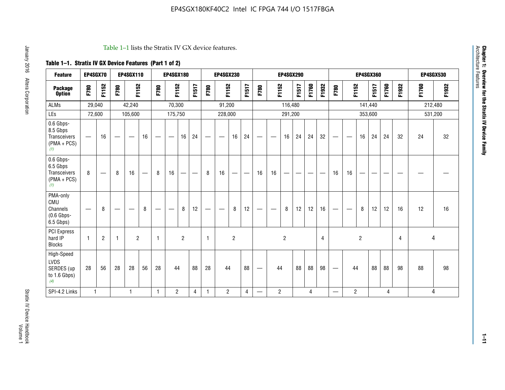#### Table 1–1 lists the Stratix IV GX device features.

## **Table 1–1. Stratix IV GX Device Features (Part 1 of 2)**

| <b>Feature</b>                                                 | EP4SGX70                 |                |                                | <b>EP4SGX110</b>  |                          |                                | <b>EP4SGX180</b>               |                |       |              | <b>EP4SGX230</b>         |                |       |                                 |                | <b>EP4SGX290</b> |       |       |                |                                 |                   | <b>EP4SGX360</b> |         |       |       |         | <b>EP4SGX530</b> |
|----------------------------------------------------------------|--------------------------|----------------|--------------------------------|-------------------|--------------------------|--------------------------------|--------------------------------|----------------|-------|--------------|--------------------------|----------------|-------|---------------------------------|----------------|------------------|-------|-------|----------------|---------------------------------|-------------------|------------------|---------|-------|-------|---------|------------------|
| <b>Package</b><br><b>Option</b>                                | F780                     | F1152          | F780                           | F1152             |                          | F780                           | F1152                          |                | F1517 | F780         | F1152                    |                | F1517 | F780                            | F1152          |                  | F1517 | F1760 | F1932          | F780                            | F1152             |                  | F1517   | F1760 | F1932 | F1760   | F1932            |
| <b>ALMs</b>                                                    | 29,040                   |                |                                | 42,240            |                          |                                | 70,300                         |                |       |              | 91,200                   |                |       |                                 |                | 116,480          |       |       |                |                                 |                   |                  | 141,440 |       |       | 212,480 |                  |
| LEs                                                            | 72,600                   |                |                                | 105,600           |                          |                                | 175,750                        |                |       |              | 228,000                  |                |       |                                 |                | 291,200          |       |       |                |                                 |                   |                  | 353,600 |       |       |         | 531,200          |
| 0.6 Gbps-<br>8.5 Gbps<br>Transceivers<br>$(PMA + PCs)$<br>(1)  | $\overline{\phantom{0}}$ | 16             | $\hspace{0.05cm}$              | $\hspace{0.05cm}$ | 16                       | $\hspace{0.05cm}$              | $\hspace{0.05cm}$              | 16             | 24    |              | $\overline{\phantom{a}}$ | 16             | 24    | —                               |                | 16               | 24    | 24    | 32             | $\overline{\phantom{0}}$        | $\hspace{0.05cm}$ | 16               | 24      | 24    | 32    | 24      | 32               |
| 0.6 Gbps-<br>6.5 Gbps<br>Transceivers<br>$(PMA + PCs)$<br>(1)  | 8                        |                | 8                              | 16                | $\overline{\phantom{0}}$ | 8                              | 16                             | ÷              |       | 8            | 16                       | —              |       | 16                              | 16             |                  |       |       |                | 16                              | 16                |                  |         |       |       |         |                  |
| PMA-only<br>CMU<br>Channels<br>$(0.6$ Gbps-<br>6.5 Gbps)       | $\overline{\phantom{0}}$ | 8              | $\qquad \qquad \longleftarrow$ |                   | 8                        | $\qquad \qquad \longleftarrow$ | $\qquad \qquad \longleftarrow$ | 8              | 12    |              |                          | 8              | 12    | $\hspace{0.1mm}-\hspace{0.1mm}$ |                | 8                | 12    | 12    | 16             | $\overline{\phantom{0}}$        | $\hspace{0.05cm}$ | 8                | 12      | 12    | 16    | 12      | 16               |
| <b>PCI Express</b><br>hard IP<br><b>Blocks</b>                 | $\mathbf{1}$             | $\overline{2}$ | $\mathbf 1$                    | $\overline{2}$    |                          | $\mathbf{1}$                   |                                | $\overline{2}$ |       | $\mathbf{1}$ |                          | $\overline{c}$ |       |                                 |                | $\overline{c}$   |       |       | $\overline{4}$ |                                 |                   | $\overline{2}$   |         |       | 4     |         | 4                |
| High-Speed<br><b>LVDS</b><br>SERDES (up<br>to 1.6 Gbps)<br>(4) | 28                       | 56             | 28                             | 28                | 56                       | 28                             | 44                             |                | 88    | 28           | 44                       |                | 88    | —                               | 44             |                  | 88    | 88    | 98             | $\hspace{0.1mm}-\hspace{0.1mm}$ | 44                |                  | 88      | 88    | 98    | 88      | 98               |
| SPI-4.2 Links                                                  | $\mathbf{1}$             |                |                                | 1                 |                          | $\mathbf{1}$                   | $\overline{c}$                 |                | 4     | 1            | $\overline{c}$           |                | 4     | —                               | $\overline{2}$ |                  |       | 4     |                | $\overline{\phantom{0}}$        | $\overline{2}$    |                  |         | 4     |       |         | 4                |

Architecture Features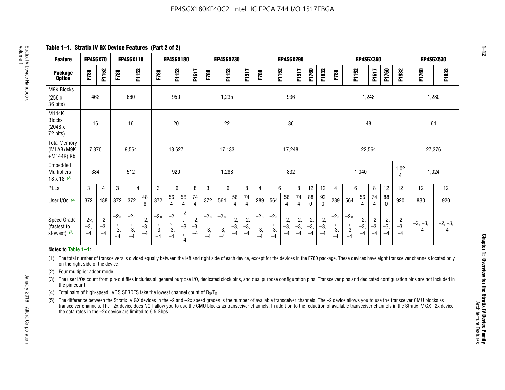**Table 1–1. Stratix IV GX Device Features (Part 2 of 2)**

| <b>Feature</b>                                       | EP4SGX70                |                        |                             | <b>EP4SGX110</b>            |                        |                             | <b>EP4SGX180</b>            |                                 |                        |                             | <b>EP4SGX230</b>            |                      |                        |                             |                            | <b>EP4SGX290</b>       |                      |                        |                        |                             |                             |                        | <b>EP4SGX360</b>     |                        |                        | <b>EP4SGX530</b>  |                   |
|------------------------------------------------------|-------------------------|------------------------|-----------------------------|-----------------------------|------------------------|-----------------------------|-----------------------------|---------------------------------|------------------------|-----------------------------|-----------------------------|----------------------|------------------------|-----------------------------|----------------------------|------------------------|----------------------|------------------------|------------------------|-----------------------------|-----------------------------|------------------------|----------------------|------------------------|------------------------|-------------------|-------------------|
| <b>Package</b><br><b>Option</b>                      | F780                    | F1152                  | F780                        | F1152                       |                        | F780                        | F1152                       |                                 | F1517                  | F780                        | F1152                       |                      | F1517                  | F780                        | F1152                      |                        | F1517                | F1760                  | F1932                  | F780                        | F1152                       |                        | F1517                | F1760                  | F1932                  | F1760             | F1932             |
| M9K Blocks<br>(256x)<br>36 bits)                     | 462                     |                        |                             | 660                         |                        |                             | 950                         |                                 |                        |                             | 1,235                       |                      |                        |                             |                            | 936                    |                      |                        |                        |                             |                             | 1,248                  |                      |                        |                        | 1,280             |                   |
| M144K<br><b>Blocks</b><br>(2048 x<br>72 bits)        | 16                      |                        |                             | 16                          |                        |                             | 20                          |                                 |                        |                             | 22                          |                      |                        |                             |                            | 36                     |                      |                        |                        |                             |                             | 48                     |                      |                        |                        | 64                |                   |
| <b>Total Memory</b><br>(MLAB+M9K<br>+M144K) Kb       | 7,370                   |                        |                             | 9,564                       |                        |                             | 13,627                      |                                 |                        |                             | 17,133                      |                      |                        |                             |                            | 17,248                 |                      |                        |                        |                             |                             | 22,564                 |                      |                        |                        | 27,376            |                   |
| Embedded<br><b>Multipliers</b><br>$18 \times 18$ (2) | 384                     |                        |                             | 512                         |                        |                             | 920                         |                                 |                        |                             | 1,288                       |                      |                        |                             |                            | 832                    |                      |                        |                        |                             |                             | 1,040                  |                      |                        | 1,02<br>4              | 1,024             |                   |
| PLLs                                                 | 3                       | $\overline{4}$         | 3                           | 4                           |                        | 3                           | 6                           |                                 | 8                      | 3                           | 6                           |                      | 8                      | $\overline{4}$              | 6                          |                        | 8                    | 12                     | 12                     | 4                           | 6                           |                        | 8                    | 12                     | 12                     | 12                | 12                |
| User $I/Os$ (3)                                      | 372                     | 488                    | 372                         | 372                         | 48<br>8                | 372                         | 56<br>4                     | 56<br>4                         | 74<br>4                | 372                         | 564                         | 56<br>4              | 74<br>$\overline{4}$   | 289                         | 564                        | 56<br>4                | 74<br>4              | 88<br>0                | 92<br>0                | 289                         | 564                         | 56<br>4                | 74<br>4              | 88<br>0                | 920                    | 880               | 920               |
| Speed Grade<br>(fastest to<br>slowest) (5)           | $-2x,$<br>$-3,$<br>$-4$ | $-2,$<br>$-3,$<br>$-4$ | $-2\times$<br>$-3,$<br>$-4$ | $-2\times$<br>$-3,$<br>$-4$ | $-2,$<br>$-3,$<br>$-4$ | $-2\times$<br>$-3,$<br>$-4$ | $-2$<br>×,<br>$-3,$<br>$-4$ | $-2$<br>$\cdot$<br>$-3$<br>$-4$ | $-2,$<br>$-3,$<br>$-4$ | $-2\times$<br>$-3,$<br>$-4$ | $-2\times$<br>$-3,$<br>$-4$ | $-2,$<br>-3,<br>$-4$ | $-2,$<br>$-3,$<br>$-4$ | $-2\times$<br>$-3,$<br>$-4$ | $-2\times$<br>$-3$<br>$-4$ | $-2,$<br>$-3,$<br>$-4$ | $-2,$<br>-3,<br>$-4$ | $-2,$<br>$-3,$<br>$-4$ | $-2,$<br>$-3,$<br>$-4$ | $-2\times$<br>$-3,$<br>$-4$ | $-2\times$<br>$-3,$<br>$-4$ | $-2,$<br>$-3,$<br>$-4$ | $-2,$<br>-3,<br>$-4$ | $-2,$<br>$-3,$<br>$-4$ | $-2,$<br>$-3,$<br>$-4$ | $-2, -3,$<br>$-4$ | $-2, -3,$<br>$-4$ |

#### **Notes to Table 1–1:**

(1) The total number of transceivers is divided equally between the left and right side of each device, except for the devices in the F780 package. These devices have eight transceiver channels located only on the right side of the device.

(2) Four multiplier adder mode.

(3) The user I/Os count from pin-out files includes all general purpose I/O, dedicated clock pins, and dual purpose configuration pins. Transceiver pins and dedicated configuration pins are not included in the pin count.

- (4) Total pairs of high-speed LVDS SERDES take the lowest channel count of  $R_X/T_X$ .
- (5) The difference between the Stratix IV GX devices in the –2 and –2x speed grades is the number of available transceiver channels. The –2 device allows you to use the transceiver CMU blocks as transceiver channels. The –2x device does NOT allow you to use the CMU blocks as transceiver channels. In addition to the reduction of available transceiver channels in the Stratix IV GX –2x device, the data rates in the –2x device are limited to 6.5 Gbps.

January 2016 Altera Corporation

Altera Corporation

January 2016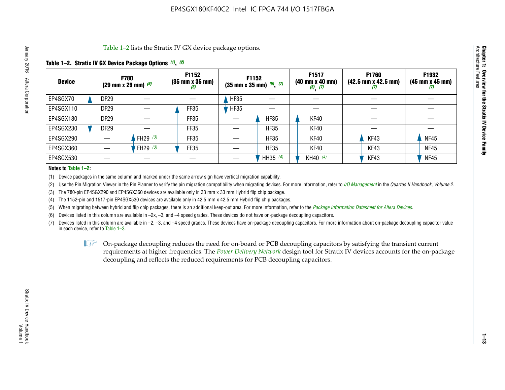Table 1–2 lists the Stratix IV GX device package options.

#### **Table 1–2. Stratix IV GX Device Package Options** *(1)***,** *(2)*

| <b>Device</b> |                  | <b>F780</b><br>(29 mm x 29 mm) $(6)$ | F1152<br>$(35 \, \text{mm} \times 35 \, \text{mm})$<br>(6) |             | <b>F1152</b><br>$(35 \text{ mm} \times 35 \text{ mm})$ $(5)$ , $(7)$ | F1517<br>(40 mm x 40 mm)<br>$(5)$ $(7)$ | <b>F1760</b><br>$(42.5 \text{ mm} \times 42.5 \text{ mm})$<br>Ø | F1932<br>$(45 \, \text{mm} \times 45 \, \text{mm})$<br>(7) |
|---------------|------------------|--------------------------------------|------------------------------------------------------------|-------------|----------------------------------------------------------------------|-----------------------------------------|-----------------------------------------------------------------|------------------------------------------------------------|
| EP4SGX70      | <b>DF29</b>      |                                      |                                                            | <b>HF35</b> |                                                                      |                                         |                                                                 |                                                            |
| EP4SGX110     | <b>DF29</b>      |                                      | FF35                                                       | <b>HF35</b> |                                                                      |                                         |                                                                 |                                                            |
| EP4SGX180     | DF <sub>29</sub> |                                      | FF35                                                       |             | <b>HF35</b>                                                          | KF40                                    |                                                                 |                                                            |
| EP4SGX230     | DF <sub>29</sub> |                                      | FF35                                                       |             | <b>HF35</b>                                                          | KF40                                    |                                                                 |                                                            |
| EP4SGX290     |                  | FH29 $(3)$                           | FF35                                                       |             | <b>HF35</b>                                                          | KF40                                    | KF43                                                            | <b>NF45</b>                                                |
| EP4SGX360     |                  | FH29 (3)                             | FF35                                                       |             | <b>HF35</b>                                                          | KF40                                    | KF43                                                            | <b>NF45</b>                                                |
| EP4SGX530     |                  |                                      |                                                            |             | HH35 (4)                                                             | KH40 (4)                                | KF43                                                            | <b>NF45</b>                                                |

#### **Notes to Table 1–2:**

(1) Device packages in the same column and marked under the same arrow sign have vertical migration capability.

(2) Use the Pin Migration Viewer in the Pin Planner to verify the pin migration compatibility when migrating devices. For more information, refer to *[I/O Management](http://www.altera.com/literature/hb/qts/qts_qii52013.pdf)* in the *Quartus II Handbook, Volume 2*.

(3) The 780-pin EP4SGX290 and EP4SGX360 devices are available only in 33 mm x 33 mm Hybrid flip chip package.

(4) The 1152-pin and 1517-pin EP4SGX530 devices are available only in 42.5 mm x 42.5 mm Hybrid flip chip packages.

(5) When migrating between hybrid and flip chip packages, there is an additional keep-out area. For more information, refer to the *[Package Information Datasheet for Altera Devices](http://www.altera.com/literature/ds/dspkg.pdf)*.

(6) Devices listed in this column are available in –2x, –3, and –4 speed grades. These devices do not have on-package decoupling capacitors.

(7) Devices listed in this column are available in –2, –3, and –4 speed grades. These devices have on-package decoupling capacitors. For more information about on-package decoupling capacitor value in each device, refer to Table 1–3.

 $\mathbb{L}$ s On-package decoupling reduces the need for on-board or PCB decoupling capacitors by satisfying the transient current requirements at higher frequencies. The *[Power Delivery Network](http://www.altera.com/literature/ug/pdn_tool_stxiv.zip)* design tool for Stratix IV devices accounts for the on-package decoupling and reflects the reduced requirements for PCB decoupling capacitors.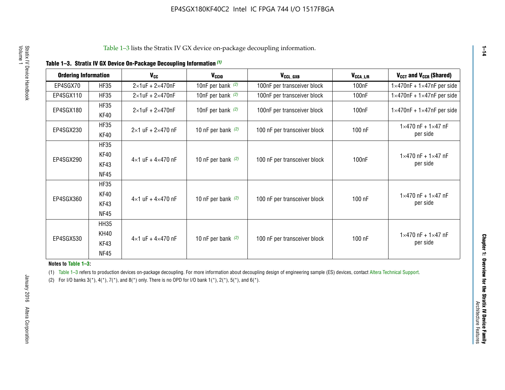|  |  |  | Table 1-3. Stratix IV GX Device On-Package Decoupling Information (1) |
|--|--|--|-----------------------------------------------------------------------|
|--|--|--|-----------------------------------------------------------------------|

| <b>Ordering Information</b> |             | <b>V<sub>cc</sub></b>               | V <sub>ccio</sub>    | V <sub>CCL_GXB</sub>         | $V_{\texttt{CCA}\_\textsf{L/R}}$ | $V_{CCT}$ and $V_{CCR}$ (Shared)              |  |
|-----------------------------|-------------|-------------------------------------|----------------------|------------------------------|----------------------------------|-----------------------------------------------|--|
|                             |             |                                     |                      |                              |                                  |                                               |  |
| EP4SGX70                    | <b>HF35</b> | $2\times1$ uF + $2\times470$ nF     | 10nF per bank $(2)$  | 100nF per transceiver block  | 100nF                            | $1 \times 470$ nF + $1 \times 47$ nF per side |  |
| EP4SGX110                   | <b>HF35</b> | $2\times1$ uF + 2 $\times$ 470nF    | 10nF per bank $(2)$  | 100nF per transceiver block  | 100 <sub>nF</sub>                | $1\times470$ nF + $1\times47$ nF per side     |  |
| EP4SGX180                   | <b>HF35</b> | $2\times1$ uF + $2\times470$ nF     | 10nF per bank $(2)$  | 100nF per transceiver block  | 100 <sub>n</sub> F               | $1 \times 470$ nF + $1 \times 47$ nF per side |  |
|                             | KF40        |                                     |                      |                              |                                  |                                               |  |
|                             | <b>HF35</b> |                                     |                      |                              |                                  | $1 \times 470$ nF + $1 \times 47$ nF          |  |
| EP4SGX230                   | KF40        | $2\times1$ uF + $2\times470$ nF     | 10 nF per bank $(2)$ | 100 nF per transceiver block | 100 nF                           | per side                                      |  |
|                             | <b>HF35</b> |                                     |                      |                              |                                  |                                               |  |
|                             | KF40        |                                     |                      |                              |                                  | $1 \times 470$ nF + $1 \times 47$ nF          |  |
| EP4SGX290                   | KF43        | $4 \times 1$ uF + $4 \times 470$ nF | 10 nF per bank $(2)$ | 100 nF per transceiver block | 100nF                            | per side                                      |  |
|                             | <b>NF45</b> |                                     |                      |                              |                                  |                                               |  |
|                             | <b>HF35</b> |                                     |                      |                              |                                  |                                               |  |
|                             | KF40        |                                     |                      |                              |                                  | $1 \times 470$ nF + $1 \times 47$ nF          |  |
| EP4SGX360                   | KF43        | $4 \times 1$ uF + $4 \times 470$ nF | 10 nF per bank $(2)$ | 100 nF per transceiver block | 100 nF                           | per side                                      |  |
|                             | <b>NF45</b> |                                     |                      |                              |                                  |                                               |  |
|                             | <b>HH35</b> |                                     |                      |                              |                                  |                                               |  |
|                             | <b>KH40</b> |                                     |                      |                              |                                  | $1 \times 470$ nF + $1 \times 47$ nF          |  |
| EP4SGX530                   | KF43        | $4 \times 1$ uF + $4 \times 470$ nF | 10 nF per bank $(2)$ | 100 nF per transceiver block | 100 nF                           | per side                                      |  |
|                             | <b>NF45</b> |                                     |                      |                              |                                  |                                               |  |

**Notes to Table 1–3:**

(1) Table 1-3 refers to production devices on-package decoupling. For more information about decoupling design of engineering sample (ES) devices, contact [Altera Technical Support](http://mysupport.altera.com/eservice/login.asp).

(2) For I/O banks  $3(*)$ ,  $4(*)$ ,  $7(*)$ , and  $8(*)$  only. There is no OPD for I/O bank  $1(*)$ ,  $2(*)$ ,  $5(*)$ , and  $6(*)$ .

**1–14**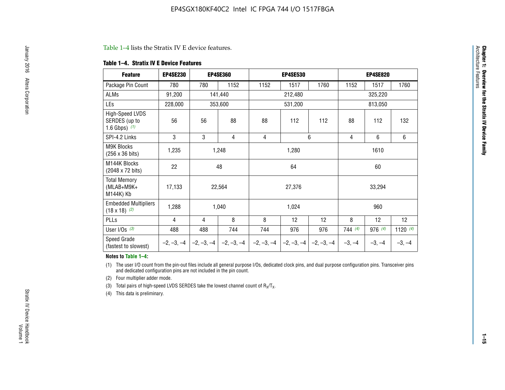#### Table 1–4 lists the Stratix IV E device features.

#### **Table 1–4. Stratix IV E Device Features**

| <b>Feature</b>                                      | <b>EP4SE230</b> |     | <b>EP4SE360</b>                        | <b>EP4SE530</b> |              |              |          | <b>EP4SE820</b> |            |
|-----------------------------------------------------|-----------------|-----|----------------------------------------|-----------------|--------------|--------------|----------|-----------------|------------|
| Package Pin Count                                   | 780             | 780 | 1152                                   | 1152            | 1517         | 1760         | 1152     | 1517            | 1760       |
| ALMs                                                | 91,200          |     | 141,440                                |                 | 212,480      |              |          | 325,220         |            |
| LEs                                                 | 228,000         |     | 353,600                                |                 | 531,200      |              |          | 813,050         |            |
| High-Speed LVDS<br>SERDES (up to<br>1.6 Gbps) $(1)$ | 56              | 56  | 88                                     | 88              | 112          | 112          | 88       | 112             | 132        |
| SPI-4.2 Links                                       | 3               | 3   | 4                                      | 4               |              | 6            | 4        | 6               | 6          |
| <b>M9K Blocks</b><br>(256 x 36 bits)                | 1,235           |     | 1,248                                  |                 | 1,280        |              |          | 1610            |            |
| M144K Blocks<br>(2048 x 72 bits)                    | 22              |     | 48                                     |                 | 64           |              |          | 60              |            |
| <b>Total Memory</b><br>$(MLAB+M9K+$<br>M144K) Kb    | 17,133          |     | 22,564                                 |                 | 27,376       |              |          | 33,294          |            |
| <b>Embedded Multipliers</b><br>$(18 \times 18)$ (2) | 1,288           |     | 1,040                                  |                 | 1,024        |              |          | 960             |            |
| PLLs                                                | 4               | 4   | 8                                      | 8               | 12           | 12           | 8        | 12              | 12         |
| User I/Os $(3)$                                     | 488             | 488 | 744                                    | 744             | 976          | 976          | 744(4)   | 976 (4)         | 1120 $(4)$ |
| Speed Grade<br>(fastest to slowest)                 |                 |     | $-2, -3, -4$ $-2, -3, -4$ $-2, -3, -4$ | $-2, -3, -4$    | $-2, -3, -4$ | $-2, -3, -4$ | $-3, -4$ | $-3, -4$        | $-3, -4$   |

#### **Notes to Table 1–4:**

(1) The user I/O count from the pin-out files include all general purpose I/Os, dedicated clock pins, and dual purpose configuration pins. Transceiver pins and dedicated configuration pins are not included in the pin count.

(2) Four multiplier adder mode.

(3) Total pairs of high-speed LVDS SERDES take the lowest channel count of  $R_X/T_X$ .

(4) This data is preliminary.

**Chapter 1: Overview for the Stratix IV Device Family**

**Chapter 1: Overview for the Stratix IV Device Family**<br>Architecture Faatures

Architecture Features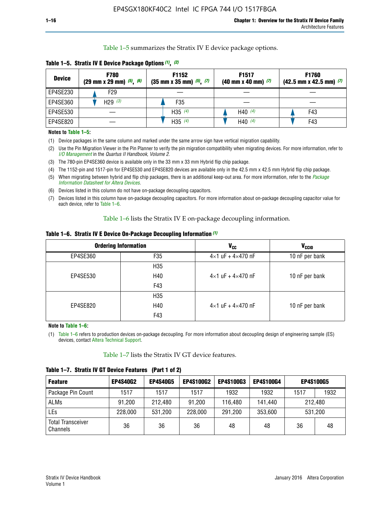Table 1–5 summarizes the Stratix IV E device package options.

| <b>Device</b> | <b>F780</b><br>$(29 \text{ mm} \times 29 \text{ mm})$ $(5)$ , $(6)$ | F1152<br>$(35 \text{ mm} \times 35 \text{ mm})$ $(5)$ , $(7)$ | F <sub>1517</sub><br>$(40 \text{ mm} \times 40 \text{ mm})$ (7) | <b>F1760</b><br>$(42.5$ mm x 42.5 mm) $(7)$ |  |  |
|---------------|---------------------------------------------------------------------|---------------------------------------------------------------|-----------------------------------------------------------------|---------------------------------------------|--|--|
| EP4SE230      | F <sub>29</sub>                                                     |                                                               |                                                                 |                                             |  |  |
| EP4SE360      | H29 $(3)$                                                           | F35                                                           |                                                                 |                                             |  |  |
| EP4SE530      |                                                                     | H35 $(4)$                                                     | H40 $(4)$                                                       | F43                                         |  |  |
| EP4SE820      |                                                                     | H35 $(4)$                                                     | H40 $(4)$                                                       | F43                                         |  |  |

**Table 1–5. Stratix IV E Device Package Options** *(1)***,** *(2)*

#### **Notes to Table 1–5:**

(1) Device packages in the same column and marked under the same arrow sign have vertical migration capability.

(2) Use the Pin Migration Viewer in the Pin Planner to verify the pin migration compatibility when migrating devices. For more information, refer to *[I/O Management](http://www.altera.com/literature/hb/qts/qts_qii52013.pdf)* in the *Quartus II Handbook, Volume 2*.

(3) The 780-pin EP4SE360 device is available only in the 33 mm x 33 mm Hybrid flip chip package.

(4) The 1152-pin and 1517-pin for EP4SE530 and EP4SE820 devices are available only in the 42.5 mm x 42.5 mm Hybrid flip chip package.

(5) When migrating between hybrid and flip chip packages, there is an additional keep-out area. For more information, refer to the *[Package](http://www.altera.com/literature/ds/dspkg.pdf)  [Information Datasheet for Altera Devices](http://www.altera.com/literature/ds/dspkg.pdf)*.

(6) Devices listed in this column do not have on-package decoupling capacitors.

(7) Devices listed in this column have on-package decoupling capacitors. For more information about on-package decoupling capacitor value for each device, refer to Table 1–6.

Table 1–6 lists the Stratix IV E on-package decoupling information.

| Table 1–6. Stratix IV E Device On-Package Decoupling Information (1) |  |  |  |  |  |
|----------------------------------------------------------------------|--|--|--|--|--|
|----------------------------------------------------------------------|--|--|--|--|--|

|          | <b>Ordering Information</b> | V <sub>cc</sub>                     | <b>V<sub>CCIO</sub></b> |
|----------|-----------------------------|-------------------------------------|-------------------------|
| EP4SE360 | F <sub>35</sub>             | $4 \times 1$ uF + $4 \times 470$ nF | 10 nF per bank          |
|          | H35                         |                                     |                         |
| EP4SE530 | H40                         | $4\times1$ uF + $4\times470$ nF     | 10 nF per bank          |
|          | F43                         |                                     |                         |
|          | H35                         |                                     |                         |
| EP4SE820 | H40                         | $4\times1$ uF + $4\times470$ nF     | 10 nF per bank          |
|          | F43                         |                                     |                         |

**Note to Table 1–6:**

(1) Table 1–6 refers to production devices on-package decoupling. For more information about decoupling design of engineering sample (ES) devices, contact [Altera Technical Support](http://mysupport.altera.com/eservice/login.asp).

Table 1–7 lists the Stratix IV GT device features.

| <b>Feature</b>                       | <b>EP4S40G2</b> | <b>EP4S40G5</b> | <b>EP4S100G2</b> | <b>EP4S100G3</b> | <b>EP4S100G4</b> | <b>EP4S100G5</b> |         |
|--------------------------------------|-----------------|-----------------|------------------|------------------|------------------|------------------|---------|
| Package Pin Count                    | 1517            | 1517            | 1517             | 1932             | 1932             | 1517             | 1932    |
| <b>ALMs</b>                          | 91,200          | 212,480         | 91,200           | 116,480          | 141,440          |                  | 212.480 |
| LEs                                  | 228,000         | 531,200         | 228,000          | 291,200          | 353,600          |                  | 531,200 |
| <b>Total Transceiver</b><br>Channels | 36              | 36              | 36               | 48               | 48               | 36               | 48      |

**Table 1–7. Stratix IV GT Device Features (Part 1 of 2)**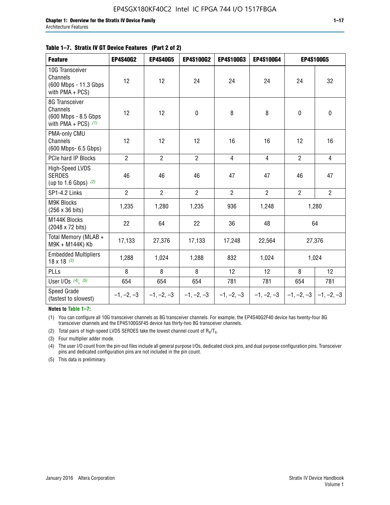| <b>Feature</b>                                                              | <b>EP4S40G2</b> | <b>EP4S40G5</b> | EP4S100G2      | <b>EP4S100G3</b> | EP4S100G4      |                | <b>EP4S100G5</b>          |
|-----------------------------------------------------------------------------|-----------------|-----------------|----------------|------------------|----------------|----------------|---------------------------|
| 10G Transceiver<br>Channels<br>(600 Mbps - 11.3 Gbps)<br>with PMA + PCS)    | 12              | 12              | 24             | 24               | 24             | 24             | 32                        |
| 8G Transceiver<br>Channels<br>(600 Mbps - 8.5 Gbps<br>with PMA + PCS) $(1)$ | 12              | 12              | 0              | 8                | 8              | $\mathbf 0$    | 0                         |
| PMA-only CMU<br>Channels<br>(600 Mbps- 6.5 Gbps)                            | 12              | 12              | 12             | 16               | 16             | 12             | 16                        |
| PCIe hard IP Blocks                                                         | $\overline{2}$  | $\overline{2}$  | $\overline{2}$ | $\overline{4}$   | $\overline{4}$ | $\overline{2}$ | $\overline{4}$            |
| <b>High-Speed LVDS</b><br><b>SERDES</b><br>(up to 1.6 Gbps) $(2)$           | 46              | 46              | 46             | 47               | 47             | 46             | 47                        |
| SP1-4.2 Links                                                               | $\overline{2}$  | $\overline{2}$  | $\overline{2}$ | $\overline{2}$   | $\overline{2}$ | $\overline{2}$ | $\overline{2}$            |
| <b>M9K Blocks</b><br>(256 x 36 bits)                                        | 1,235           | 1,280           | 1,235          | 936              | 1,248          |                | 1,280                     |
| M144K Blocks<br>(2048 x 72 bits)                                            | 22              | 64              | 22             | 36               | 48             |                | 64                        |
| Total Memory (MLAB +<br>M9K + M144K) Kb                                     | 17,133          | 27,376          | 17,133         | 17,248           | 22,564         |                | 27,376                    |
| <b>Embedded Multipliers</b><br>$18 \times 18^{(3)}$                         | 1,288           | 1,024           | 1,288          | 832              | 1,024          |                | 1,024                     |
| PLLs                                                                        | 8               | 8               | 8              | 12               | 12             | 8              | 12                        |
| User I/Os $(4)$ , $(5)$                                                     | 654             | 654             | 654            | 781              | 781            | 654            | 781                       |
| <b>Speed Grade</b><br>(fastest to slowest)                                  | $-1, -2, -3$    | $-1, -2, -3$    | $-1, -2, -3$   | $-1, -2, -3$     | $-1, -2, -3$   |                | $-1, -2, -3$ $-1, -2, -3$ |

**Notes to Table 1–7:**

(1) You can configure all 10G transceiver channels as 8G transceiver channels. For example, the EP4S40G2F40 device has twenty-four 8G transceiver channels and the EP4S100G5F45 device has thirty-two 8G transceiver channels.

(2) Total pairs of high-speed LVDS SERDES take the lowest channel count of  $R_X/T_X$ .

(3) Four multiplier adder mode.

(4) The user I/O count from the pin-out files include all general purpose I/Os, dedicated clock pins, and dual purpose configuration pins. Transceiver pins and dedicated configuration pins are not included in the pin count.

(5) This data is preliminary.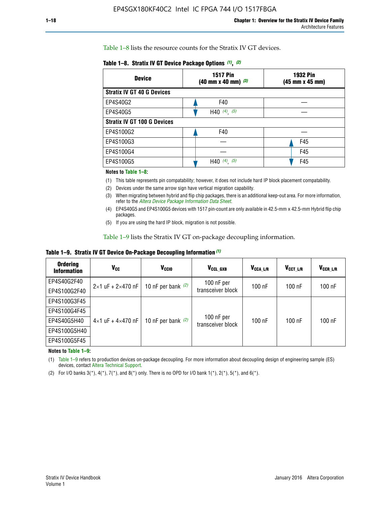Table 1–8 lists the resource counts for the Stratix IV GT devices.

| <b>Device</b>                      | <b>1517 Pin</b><br><b>1932 Pin</b><br>$(40 \text{ mm} \times 40 \text{ mm})$ (3)<br>(45 mm x 45 mm) |     |  |
|------------------------------------|-----------------------------------------------------------------------------------------------------|-----|--|
| <b>Stratix IV GT 40 G Devices</b>  |                                                                                                     |     |  |
| EP4S40G2                           | F40                                                                                                 |     |  |
| EP4S40G5                           | H40 $(4)$ , $(5)$                                                                                   |     |  |
| <b>Stratix IV GT 100 G Devices</b> |                                                                                                     |     |  |
| EP4S100G2                          | F40                                                                                                 |     |  |
| EP4S100G3                          |                                                                                                     | F45 |  |
| EP4S100G4                          |                                                                                                     | F45 |  |
| EP4S100G5                          | (4)<br>(5)<br>H40                                                                                   | F45 |  |

#### **Notes to Table 1–8:**

(1) This table represents pin compatability; however, it does not include hard IP block placement compatability.

- (2) Devices under the same arrow sign have vertical migration capability.
- (3) When migrating between hybrid and flip chip packages, there is an additional keep-out area. For more information, refer to the *[Altera Device Package Information Data Sheet](http://www.altera.com/literature/ds/dspkg.pdf)*.
- (4) EP4S40G5 and EP4S100G5 devices with 1517 pin-count are only available in 42.5-mm x 42.5-mm Hybrid flip chip packages.
- (5) If you are using the hard IP block, migration is not possible.

Table 1–9 lists the Stratix IV GT on-package decoupling information.

**Table 1–9. Stratix IV GT Device On-Package Decoupling Information** *(1)*

| <b>Ordering</b><br><b>Information</b> | Vcc                                 | <b>V<sub>CCIO</sub></b> | V <sub>CCL GXB</sub>            | V <sub>CCA L/R</sub> | V <sub>CCT L/R</sub> | V <sub>CCR_L/R</sub> |
|---------------------------------------|-------------------------------------|-------------------------|---------------------------------|----------------------|----------------------|----------------------|
| EP4S40G2F40                           | $2 \times 1$ uF + $2 \times 470$ nF | 10 nF per bank $(2)$    | 100 nF per<br>transceiver block | $100$ nF             | $100$ nF             | $100$ nF             |
| EP4S100G2F40                          |                                     |                         |                                 |                      |                      |                      |
| EP4S100G3F45                          |                                     | 10 nF per bank $(2)$    | 100 nF per<br>transceiver block | $100$ nF             | $100$ nF             | $100$ nF             |
| EP4S100G4F45                          |                                     |                         |                                 |                      |                      |                      |
| EP4S40G5H40                           | $4\times1$ uF + $4\times470$ nF     |                         |                                 |                      |                      |                      |
| EP4S100G5H40                          |                                     |                         |                                 |                      |                      |                      |
| EP4S100G5F45                          |                                     |                         |                                 |                      |                      |                      |

**Notes to Table 1–9:**

(1) Table 1–9 refers to production devices on-package decoupling. For more information about decoupling design of engineering sample (ES) devices, contact [Altera Technical Support](http://mysupport.altera.com/eservice/login.asp).

(2) For I/O banks  $3(*)$ ,  $4(*)$ ,  $7(*)$ , and  $8(*)$  only. There is no OPD for I/O bank  $1(*)$ ,  $2(*)$ ,  $5(*)$ , and  $6(*)$ .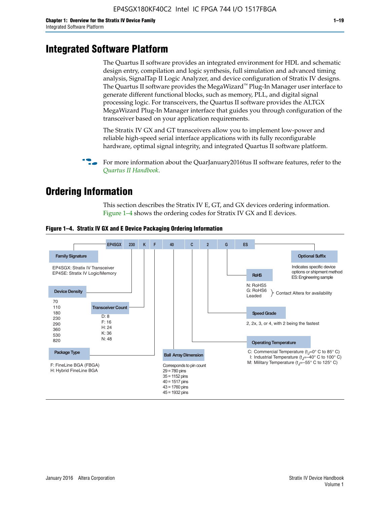# **Integrated Software Platform**

The Quartus II software provides an integrated environment for HDL and schematic design entry, compilation and logic synthesis, full simulation and advanced timing analysis, SignalTap II Logic Analyzer, and device configuration of Stratix IV designs. The Quartus II software provides the MegaWizard<sup> $M$ </sup> Plug-In Manager user interface to generate different functional blocks, such as memory, PLL, and digital signal processing logic. For transceivers, the Quartus II software provides the ALTGX MegaWizard Plug-In Manager interface that guides you through configuration of the transceiver based on your application requirements.

The Stratix IV GX and GT transceivers allow you to implement low-power and reliable high-speed serial interface applications with its fully reconfigurable hardware, optimal signal integrity, and integrated Quartus II software platform.

For more information about the QuarJanuary2016tus II software features, refer to the *[Quartus II Handbook](http://www.altera.com/literature/lit-qts.jsp)*.

# **Ordering Information**

This section describes the Stratix IV E, GT, and GX devices ordering information. Figure 1–4 shows the ordering codes for Stratix IV GX and E devices.



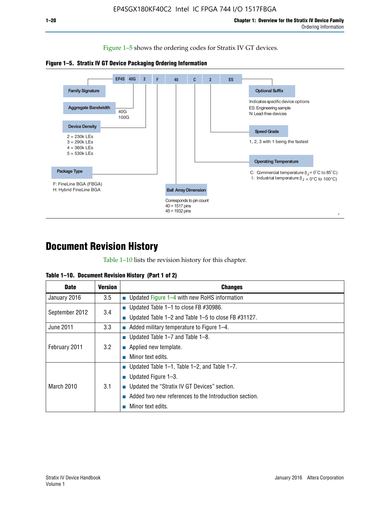Figure 1–5 shows the ordering codes for Stratix IV GT devices.





# **Document Revision History**

Table 1–10 lists the revision history for this chapter.

| Table 1–10. Document Revision History (Part 1 of 2) |  |  |  |  |  |
|-----------------------------------------------------|--|--|--|--|--|
|-----------------------------------------------------|--|--|--|--|--|

| <b>Date</b>       | <b>Version</b> | <b>Changes</b>                                              |
|-------------------|----------------|-------------------------------------------------------------|
| January 2016      | 3.5            | ■ Updated Figure 1–4 with new RoHS information              |
| September 2012    | 3.4            | ■ Updated Table 1–1 to close FB $#30986$ .                  |
|                   |                | Updated Table $1-2$ and Table $1-5$ to close FB $\#31127$ . |
| June 2011         | 3.3            | $\blacksquare$ Added military temperature to Figure 1–4.    |
| February 2011     | 3.2            | ■ Updated Table 1–7 and Table 1–8.                          |
|                   |                | $\blacksquare$ Applied new template.                        |
|                   |                | Minor text edits.                                           |
|                   |                | <b>Updated Table 1–1, Table 1–2, and Table 1–7.</b>         |
| <b>March 2010</b> |                | <b>U</b> Updated Figure 1–3.                                |
|                   | 3.1            | ■ Updated the "Stratix IV GT Devices" section.              |
|                   |                | Added two new references to the Introduction section.       |
|                   |                | Minor text edits.                                           |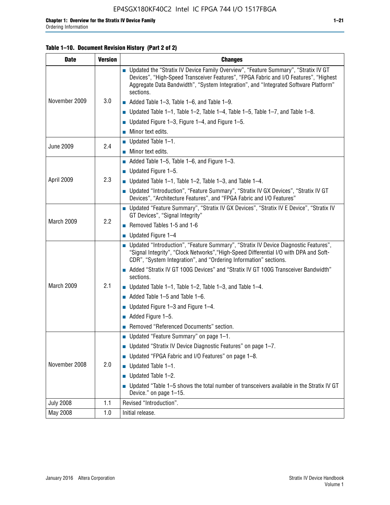#### **Table 1–10. Document Revision History (Part 2 of 2)**

| <b>Date</b>      | <b>Version</b> | <b>Changes</b>                                                                                                                                                                                                                                                                    |  |  |
|------------------|----------------|-----------------------------------------------------------------------------------------------------------------------------------------------------------------------------------------------------------------------------------------------------------------------------------|--|--|
|                  |                | ■ Updated the "Stratix IV Device Family Overview", "Feature Summary", "Stratix IV GT<br>Devices", "High-Speed Transceiver Features", "FPGA Fabric and I/O Features", "Highest<br>Aggregate Data Bandwidth", "System Integration", and "Integrated Software Platform"<br>sections. |  |  |
| November 2009    | 3.0            | $\blacksquare$ Added Table 1-3, Table 1-6, and Table 1-9.                                                                                                                                                                                                                         |  |  |
|                  |                | $\blacksquare$ Updated Table 1-1, Table 1-2, Table 1-4, Table 1-5, Table 1-7, and Table 1-8.                                                                                                                                                                                      |  |  |
|                  |                | ■ Updated Figure 1–3, Figure 1–4, and Figure 1–5.                                                                                                                                                                                                                                 |  |  |
|                  |                | $\blacksquare$ Minor text edits.                                                                                                                                                                                                                                                  |  |  |
|                  | 2.4            | $\blacksquare$ Updated Table 1-1.                                                                                                                                                                                                                                                 |  |  |
| <b>June 2009</b> |                | Minor text edits.                                                                                                                                                                                                                                                                 |  |  |
|                  |                | $\blacksquare$ Added Table 1–5, Table 1–6, and Figure 1–3.                                                                                                                                                                                                                        |  |  |
|                  |                | $\blacksquare$ Updated Figure 1-5.                                                                                                                                                                                                                                                |  |  |
| April 2009       | 2.3            | Updated Table $1-1$ , Table $1-2$ , Table $1-3$ , and Table $1-4$ .                                                                                                                                                                                                               |  |  |
|                  |                | ■ Updated "Introduction", "Feature Summary", "Stratix IV GX Devices", "Stratix IV GT<br>Devices", "Architecture Features", and "FPGA Fabric and I/O Features"                                                                                                                     |  |  |
|                  | 2.2            | ■ Updated "Feature Summary", "Stratix IV GX Devices", "Stratix IV E Device", "Stratix IV<br>GT Devices", "Signal Integrity"                                                                                                                                                       |  |  |
| March 2009       |                | Removed Tables 1-5 and 1-6                                                                                                                                                                                                                                                        |  |  |
|                  |                | Updated Figure 1-4                                                                                                                                                                                                                                                                |  |  |
|                  |                | ■ Updated "Introduction", "Feature Summary", "Stratix IV Device Diagnostic Features",<br>"Signal Integrity", "Clock Networks", "High-Speed Differential I/O with DPA and Soft-<br>CDR", "System Integration", and "Ordering Information" sections.                                |  |  |
|                  |                | Added "Stratix IV GT 100G Devices" and "Stratix IV GT 100G Transceiver Bandwidth"<br>sections.                                                                                                                                                                                    |  |  |
| March 2009       | 2.1            | <b>Updated Table 1–1, Table 1–2, Table 1–3, and Table 1–4.</b>                                                                                                                                                                                                                    |  |  |
|                  |                | $\blacksquare$ Added Table 1-5 and Table 1-6.                                                                                                                                                                                                                                     |  |  |
|                  |                | ■ Updated Figure $1-3$ and Figure $1-4$ .                                                                                                                                                                                                                                         |  |  |
|                  |                | $\blacksquare$ Added Figure 1-5.                                                                                                                                                                                                                                                  |  |  |
|                  |                | Removed "Referenced Documents" section.                                                                                                                                                                                                                                           |  |  |
|                  |                | Updated "Feature Summary" on page 1-1.                                                                                                                                                                                                                                            |  |  |
|                  | 2.0            | ■ Updated "Stratix IV Device Diagnostic Features" on page 1-7.                                                                                                                                                                                                                    |  |  |
| November 2008    |                | Updated "FPGA Fabric and I/O Features" on page 1-8.                                                                                                                                                                                                                               |  |  |
|                  |                | $\blacksquare$ Updated Table 1-1.                                                                                                                                                                                                                                                 |  |  |
|                  |                | Updated Table 1-2.                                                                                                                                                                                                                                                                |  |  |
|                  |                | Updated "Table 1-5 shows the total number of transceivers available in the Stratix IV GT<br>Device." on page 1-15.                                                                                                                                                                |  |  |
| <b>July 2008</b> | 1.1            | Revised "Introduction".                                                                                                                                                                                                                                                           |  |  |
| May 2008         | 1.0            | Initial release.                                                                                                                                                                                                                                                                  |  |  |